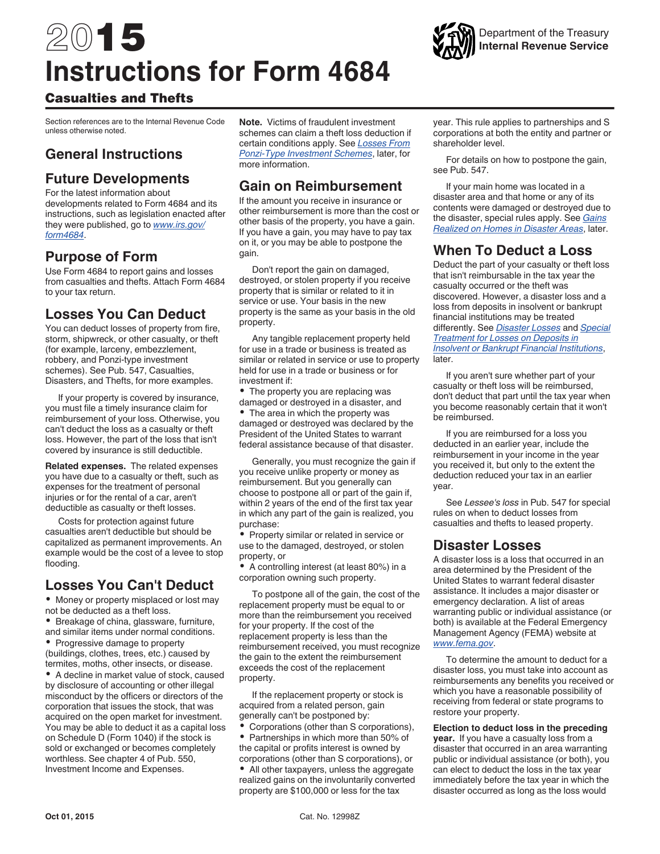# <span id="page-0-0"></span>2015 **Instructions for Form 4684**

# Casualties and Thefts

Section references are to the Internal Revenue Code unless otherwise noted.

# **General Instructions**

# **Future Developments**

For the latest information about developments related to Form 4684 and its instructions, such as legislation enacted after they were published, go to *[www.irs.gov/](http://www.irs.gov/uac/Form-4684,-Casualties-and-Thefts) [form4684](http://www.irs.gov/uac/Form-4684,-Casualties-and-Thefts)*.

# **Purpose of Form**

Use Form 4684 to report gains and losses from casualties and thefts. Attach Form 4684 to your tax return.

# **Losses You Can Deduct**

You can deduct losses of property from fire, storm, shipwreck, or other casualty, or theft (for example, larceny, embezzlement, robbery, and Ponzi-type investment schemes). See Pub. 547, Casualties, Disasters, and Thefts, for more examples.

If your property is covered by insurance, you must file a timely insurance claim for reimbursement of your loss. Otherwise, you can't deduct the loss as a casualty or theft loss. However, the part of the loss that isn't covered by insurance is still deductible.

**Related expenses.** The related expenses you have due to a casualty or theft, such as expenses for the treatment of personal injuries or for the rental of a car, aren't deductible as casualty or theft losses.

Costs for protection against future casualties aren't deductible but should be capitalized as permanent improvements. An example would be the cost of a levee to stop flooding.

# **Losses You Can't Deduct**

Money or property misplaced or lost may not be deducted as a theft loss.

Breakage of china, glassware, furniture, and similar items under normal conditions.

Progressive damage to property (buildings, clothes, trees, etc.) caused by termites, moths, other insects, or disease.

A decline in market value of stock, caused by disclosure of accounting or other illegal misconduct by the officers or directors of the corporation that issues the stock, that was acquired on the open market for investment. You may be able to deduct it as a capital loss on Schedule D (Form 1040) if the stock is sold or exchanged or becomes completely worthless. See chapter 4 of Pub. 550, Investment Income and Expenses.

**Note.** Victims of fraudulent investment schemes can claim a theft loss deduction if certain conditions apply. See *[Losses From](#page-3-0)  [Ponzi-Type Investment Schemes](#page-3-0)*, later, for more information.

# **Gain on Reimbursement**

If the amount you receive in insurance or other reimbursement is more than the cost or other basis of the property, you have a gain. If you have a gain, you may have to pay tax on it, or you may be able to postpone the gain.

Don't report the gain on damaged, destroyed, or stolen property if you receive property that is similar or related to it in service or use. Your basis in the new property is the same as your basis in the old property.

Any tangible replacement property held for use in a trade or business is treated as similar or related in service or use to property held for use in a trade or business or for investment if:

• The property you are replacing was damaged or destroyed in a disaster, and

• The area in which the property was damaged or destroyed was declared by the President of the United States to warrant federal assistance because of that disaster.

Generally, you must recognize the gain if you receive unlike property or money as reimbursement. But you generally can choose to postpone all or part of the gain if, within 2 years of the end of the first tax year in which any part of the gain is realized, you purchase:

Property similar or related in service or use to the damaged, destroyed, or stolen property, or

A controlling interest (at least 80%) in a corporation owning such property.

To postpone all of the gain, the cost of the replacement property must be equal to or more than the reimbursement you received for your property. If the cost of the replacement property is less than the reimbursement received, you must recognize the gain to the extent the reimbursement exceeds the cost of the replacement property.

If the replacement property or stock is acquired from a related person, gain generally can't be postponed by:

Corporations (other than S corporations),  $\bullet$ Partnerships in which more than 50% of the capital or profits interest is owned by corporations (other than S corporations), or All other taxpayers, unless the aggregate realized gains on the involuntarily converted property are \$100,000 or less for the tax



For details on how to postpone the gain, see Pub. 547.

If your main home was located in a disaster area and that home or any of its contents were damaged or destroyed due to the disaster, special rules apply. See *[Gains](#page-1-0)  [Realized on Homes in Disaster Areas](#page-1-0)*, later.

# **When To Deduct a Loss**

Deduct the part of your casualty or theft loss that isn't reimbursable in the tax year the casualty occurred or the theft was discovered. However, a disaster loss and a loss from deposits in insolvent or bankrupt financial institutions may be treated differently. See *Disaster Losses* and *[Special](#page-1-0)  [Treatment for Losses on Deposits in](#page-1-0)  [Insolvent or Bankrupt Financial Institutions](#page-1-0)*, later.

If you aren't sure whether part of your casualty or theft loss will be reimbursed, don't deduct that part until the tax year when you become reasonably certain that it won't be reimbursed.

If you are reimbursed for a loss you deducted in an earlier year, include the reimbursement in your income in the year you received it, but only to the extent the deduction reduced your tax in an earlier year.

See *Lessee's loss* in Pub. 547 for special rules on when to deduct losses from casualties and thefts to leased property.

# **Disaster Losses**

A disaster loss is a loss that occurred in an area determined by the President of the United States to warrant federal disaster assistance. It includes a major disaster or emergency declaration. A list of areas warranting public or individual assistance (or both) is available at the Federal Emergency Management Agency (FEMA) website at *[www.fema.gov](http://www.fema.gov)*.

To determine the amount to deduct for a disaster loss, you must take into account as reimbursements any benefits you received or which you have a reasonable possibility of receiving from federal or state programs to restore your property.

**Election to deduct loss in the preceding year.** If you have a casualty loss from a disaster that occurred in an area warranting public or individual assistance (or both), you can elect to deduct the loss in the tax year immediately before the tax year in which the disaster occurred as long as the loss would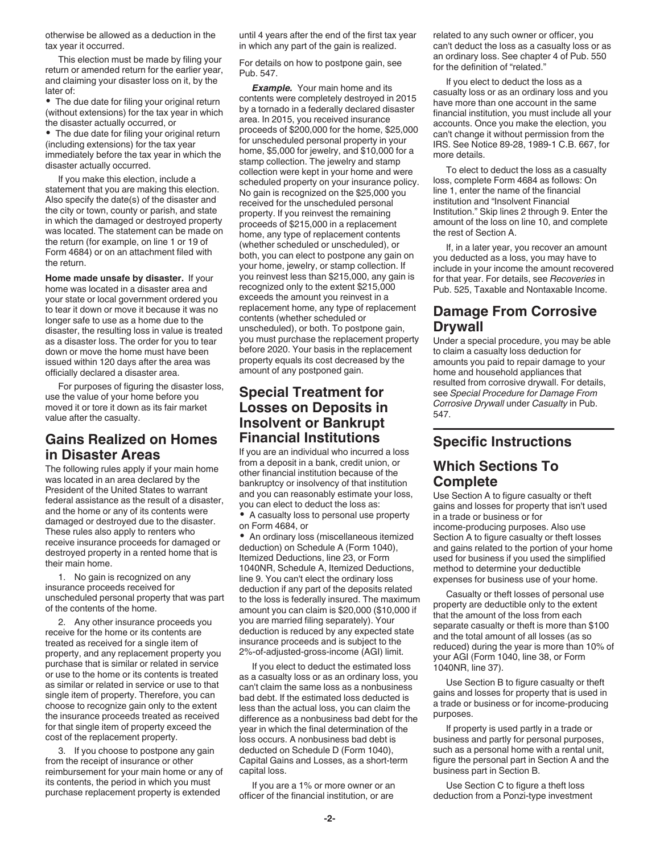<span id="page-1-0"></span>otherwise be allowed as a deduction in the tax year it occurred.

This election must be made by filing your return or amended return for the earlier year, and claiming your disaster loss on it, by the later of:

The due date for filing your original return (without extensions) for the tax year in which the disaster actually occurred, or

• The due date for filing your original return (including extensions) for the tax year immediately before the tax year in which the disaster actually occurred.

If you make this election, include a statement that you are making this election. Also specify the date(s) of the disaster and the city or town, county or parish, and state in which the damaged or destroyed property was located. The statement can be made on the return (for example, on line 1 or 19 of Form 4684) or on an attachment filed with the return.

**Home made unsafe by disaster.** If your home was located in a disaster area and your state or local government ordered you to tear it down or move it because it was no longer safe to use as a home due to the disaster, the resulting loss in value is treated as a disaster loss. The order for you to tear down or move the home must have been issued within 120 days after the area was officially declared a disaster area.

For purposes of figuring the disaster loss, use the value of your home before you moved it or tore it down as its fair market value after the casualty.

## **Gains Realized on Homes in Disaster Areas**

The following rules apply if your main home was located in an area declared by the President of the United States to warrant federal assistance as the result of a disaster, and the home or any of its contents were damaged or destroyed due to the disaster. These rules also apply to renters who receive insurance proceeds for damaged or destroyed property in a rented home that is their main home.

1. No gain is recognized on any insurance proceeds received for unscheduled personal property that was part of the contents of the home.

2. Any other insurance proceeds you receive for the home or its contents are treated as received for a single item of property, and any replacement property you purchase that is similar or related in service or use to the home or its contents is treated as similar or related in service or use to that single item of property. Therefore, you can choose to recognize gain only to the extent the insurance proceeds treated as received for that single item of property exceed the cost of the replacement property.

3. If you choose to postpone any gain from the receipt of insurance or other reimbursement for your main home or any of its contents, the period in which you must purchase replacement property is extended

until 4 years after the end of the first tax year in which any part of the gain is realized.

For details on how to postpone gain, see Pub. 547.

*Example.* Your main home and its contents were completely destroyed in 2015 by a tornado in a federally declared disaster area. In 2015, you received insurance proceeds of \$200,000 for the home, \$25,000 for unscheduled personal property in your home, \$5,000 for jewelry, and \$10,000 for a stamp collection. The jewelry and stamp collection were kept in your home and were scheduled property on your insurance policy. No gain is recognized on the \$25,000 you received for the unscheduled personal property. If you reinvest the remaining proceeds of \$215,000 in a replacement home, any type of replacement contents (whether scheduled or unscheduled), or both, you can elect to postpone any gain on your home, jewelry, or stamp collection. If you reinvest less than \$215,000, any gain is recognized only to the extent \$215,000 exceeds the amount you reinvest in a replacement home, any type of replacement contents (whether scheduled or unscheduled), or both. To postpone gain, you must purchase the replacement property before 2020. Your basis in the replacement property equals its cost decreased by the amount of any postponed gain.

# **Special Treatment for Losses on Deposits in Insolvent or Bankrupt Financial Institutions**

If you are an individual who incurred a loss from a deposit in a bank, credit union, or other financial institution because of the bankruptcy or insolvency of that institution and you can reasonably estimate your loss, you can elect to deduct the loss as:

A casualty loss to personal use property on Form 4684, or

An ordinary loss (miscellaneous itemized deduction) on Schedule A (Form 1040), Itemized Deductions, line 23, or Form 1040NR, Schedule A, Itemized Deductions, line 9. You can't elect the ordinary loss deduction if any part of the deposits related to the loss is federally insured. The maximum amount you can claim is \$20,000 (\$10,000 if you are married filing separately). Your deduction is reduced by any expected state insurance proceeds and is subject to the 2%-of-adjusted-gross-income (AGI) limit.

If you elect to deduct the estimated loss as a casualty loss or as an ordinary loss, you can't claim the same loss as a nonbusiness bad debt. If the estimated loss deducted is less than the actual loss, you can claim the difference as a nonbusiness bad debt for the year in which the final determination of the loss occurs. A nonbusiness bad debt is deducted on Schedule D (Form 1040), Capital Gains and Losses, as a short-term capital loss.

If you are a 1% or more owner or an officer of the financial institution, or are

related to any such owner or officer, you can't deduct the loss as a casualty loss or as an ordinary loss. See chapter 4 of Pub. 550 for the definition of "related."

If you elect to deduct the loss as a casualty loss or as an ordinary loss and you have more than one account in the same financial institution, you must include all your accounts. Once you make the election, you can't change it without permission from the IRS. See Notice 89-28, 1989-1 C.B. 667, for more details.

To elect to deduct the loss as a casualty loss, complete Form 4684 as follows: On line 1, enter the name of the financial institution and "Insolvent Financial Institution." Skip lines 2 through 9. Enter the amount of the loss on line 10, and complete the rest of Section A.

If, in a later year, you recover an amount you deducted as a loss, you may have to include in your income the amount recovered for that year. For details, see *Recoveries* in Pub. 525, Taxable and Nontaxable Income.

# **Damage From Corrosive Drywall**

Under a special procedure, you may be able to claim a casualty loss deduction for amounts you paid to repair damage to your home and household appliances that resulted from corrosive drywall. For details, see *Special Procedure for Damage From Corrosive Drywall* under *Casualty* in Pub. 547.

## **Specific Instructions**

## **Which Sections To Complete**

Use Section A to figure casualty or theft gains and losses for property that isn't used in a trade or business or for income-producing purposes. Also use Section A to figure casualty or theft losses and gains related to the portion of your home used for business if you used the simplified method to determine your deductible expenses for business use of your home.

Casualty or theft losses of personal use property are deductible only to the extent that the amount of the loss from each separate casualty or theft is more than \$100 and the total amount of all losses (as so reduced) during the year is more than 10% of your AGI (Form 1040, line 38, or Form 1040NR, line 37).

Use Section B to figure casualty or theft gains and losses for property that is used in a trade or business or for income-producing purposes.

If property is used partly in a trade or business and partly for personal purposes, such as a personal home with a rental unit, figure the personal part in Section A and the business part in Section B.

Use Section C to figure a theft loss deduction from a Ponzi-type investment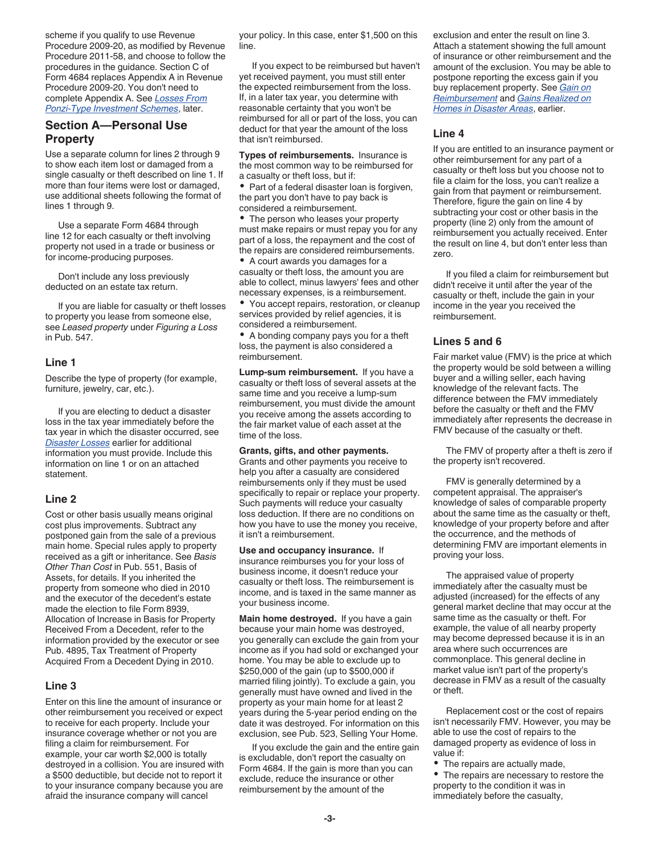<span id="page-2-0"></span>scheme if you qualify to use Revenue Procedure 2009-20, as modified by Revenue Procedure 2011-58, and choose to follow the procedures in the guidance. Section C of Form 4684 replaces Appendix A in Revenue Procedure 2009-20. You don't need to complete Appendix A. See *[Losses From](#page-3-0) [Ponzi-Type Investment Schemes](#page-3-0)*, later.

#### **Section A—Personal Use Property**

Use a separate column for lines 2 through 9 to show each item lost or damaged from a single casualty or theft described on line 1. If more than four items were lost or damaged, use additional sheets following the format of lines 1 through 9.

Use a separate Form 4684 through line 12 for each casualty or theft involving property not used in a trade or business or for income-producing purposes.

Don't include any loss previously deducted on an estate tax return.

If you are liable for casualty or theft losses to property you lease from someone else, see *Leased property* under *Figuring a Loss*  in Pub. 547.

#### **Line 1**

Describe the type of property (for example, furniture, jewelry, car, etc.).

If you are electing to deduct a disaster loss in the tax year immediately before the tax year in which the disaster occurred, see *[Disaster Losses](#page-0-0)* earlier for additional information you must provide. Include this information on line 1 or on an attached statement.

#### **Line 2**

Cost or other basis usually means original cost plus improvements. Subtract any postponed gain from the sale of a previous main home. Special rules apply to property received as a gift or inheritance. See *Basis Other Than Cost* in Pub. 551, Basis of Assets, for details. If you inherited the property from someone who died in 2010 and the executor of the decedent's estate made the election to file Form 8939, Allocation of Increase in Basis for Property Received From a Decedent, refer to the information provided by the executor or see Pub. 4895, Tax Treatment of Property Acquired From a Decedent Dying in 2010.

#### **Line 3**

Enter on this line the amount of insurance or other reimbursement you received or expect to receive for each property. Include your insurance coverage whether or not you are filing a claim for reimbursement. For example, your car worth \$2,000 is totally destroyed in a collision. You are insured with a \$500 deductible, but decide not to report it to your insurance company because you are afraid the insurance company will cancel

your policy. In this case, enter \$1,500 on this line.

If you expect to be reimbursed but haven't yet received payment, you must still enter the expected reimbursement from the loss. If, in a later tax year, you determine with reasonable certainty that you won't be reimbursed for all or part of the loss, you can deduct for that year the amount of the loss that isn't reimbursed.

**Types of reimbursements.** Insurance is the most common way to be reimbursed for a casualty or theft loss, but if:

• Part of a federal disaster loan is forgiven, the part you don't have to pay back is considered a reimbursement.

• The person who leases your property must make repairs or must repay you for any part of a loss, the repayment and the cost of the repairs are considered reimbursements.

A court awards you damages for a casualty or theft loss, the amount you are able to collect, minus lawyers' fees and other necessary expenses, is a reimbursement.

You accept repairs, restoration, or cleanup services provided by relief agencies, it is considered a reimbursement.

A bonding company pays you for a theft loss, the payment is also considered a reimbursement.

**Lump-sum reimbursement.** If you have a casualty or theft loss of several assets at the same time and you receive a lump-sum reimbursement, you must divide the amount you receive among the assets according to the fair market value of each asset at the time of the loss.

#### **Grants, gifts, and other payments.**

Grants and other payments you receive to help you after a casualty are considered reimbursements only if they must be used specifically to repair or replace your property. Such payments will reduce your casualty loss deduction. If there are no conditions on how you have to use the money you receive, it isn't a reimbursement.

**Use and occupancy insurance.** If insurance reimburses you for your loss of business income, it doesn't reduce your casualty or theft loss. The reimbursement is income, and is taxed in the same manner as your business income.

**Main home destroyed.** If you have a gain because your main home was destroyed, you generally can exclude the gain from your income as if you had sold or exchanged your home. You may be able to exclude up to \$250,000 of the gain (up to \$500,000 if married filing jointly). To exclude a gain, you generally must have owned and lived in the property as your main home for at least 2 years during the 5-year period ending on the date it was destroyed. For information on this exclusion, see Pub. 523, Selling Your Home.

If you exclude the gain and the entire gain is excludable, don't report the casualty on Form 4684. If the gain is more than you can exclude, reduce the insurance or other reimbursement by the amount of the

exclusion and enter the result on line 3. Attach a statement showing the full amount of insurance or other reimbursement and the amount of the exclusion. You may be able to postpone reporting the excess gain if you buy replacement property. See *[Gain on](#page-0-0)  [Reimbursement](#page-0-0)* and *[Gains Realized on](#page-1-0)  [Homes in Disaster Areas](#page-1-0)*, earlier.

#### **Line 4**

If you are entitled to an insurance payment or other reimbursement for any part of a casualty or theft loss but you choose not to file a claim for the loss, you can't realize a gain from that payment or reimbursement. Therefore, figure the gain on line 4 by subtracting your cost or other basis in the property (line 2) only from the amount of reimbursement you actually received. Enter the result on line 4, but don't enter less than zero.

If you filed a claim for reimbursement but didn't receive it until after the year of the casualty or theft, include the gain in your income in the year you received the reimbursement.

#### **Lines 5 and 6**

Fair market value (FMV) is the price at which the property would be sold between a willing buyer and a willing seller, each having knowledge of the relevant facts. The difference between the FMV immediately before the casualty or theft and the FMV immediately after represents the decrease in FMV because of the casualty or theft.

The FMV of property after a theft is zero if the property isn't recovered.

FMV is generally determined by a competent appraisal. The appraiser's knowledge of sales of comparable property about the same time as the casualty or theft, knowledge of your property before and after the occurrence, and the methods of determining FMV are important elements in proving your loss.

The appraised value of property immediately after the casualty must be adjusted (increased) for the effects of any general market decline that may occur at the same time as the casualty or theft. For example, the value of all nearby property may become depressed because it is in an area where such occurrences are commonplace. This general decline in market value isn't part of the property's decrease in FMV as a result of the casualty or theft.

Replacement cost or the cost of repairs isn't necessarily FMV. However, you may be able to use the cost of repairs to the damaged property as evidence of loss in value if:

- The repairs are actually made,
- The repairs are necessary to restore the property to the condition it was in immediately before the casualty,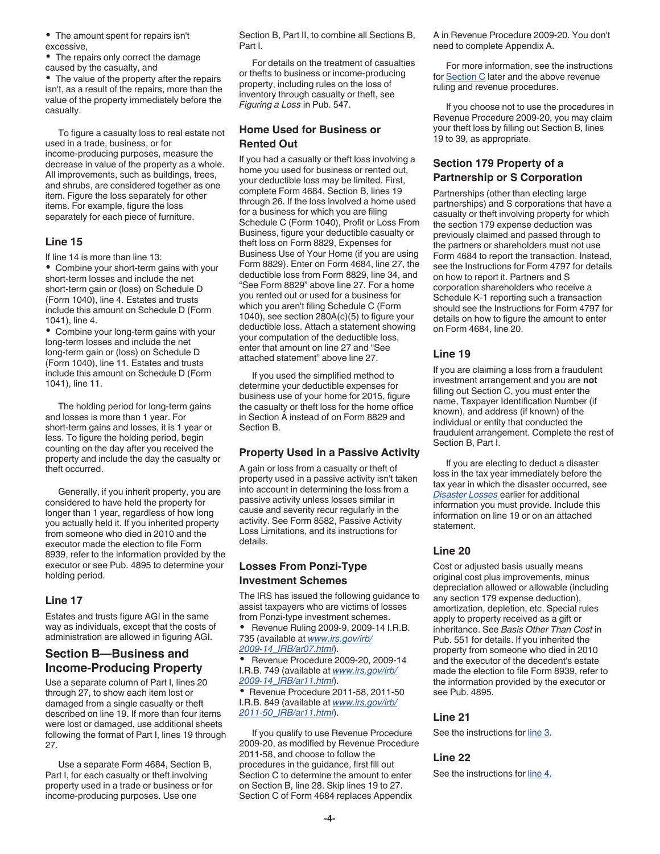<span id="page-3-0"></span>The amount spent for repairs isn't excessive,

The repairs only correct the damage caused by the casualty, and

The value of the property after the repairs isn't, as a result of the repairs, more than the value of the property immediately before the casualty.

To figure a casualty loss to real estate not used in a trade, business, or for income-producing purposes, measure the decrease in value of the property as a whole. All improvements, such as buildings, trees, and shrubs, are considered together as one item. Figure the loss separately for other items. For example, figure the loss separately for each piece of furniture.

#### **Line 15**

If line 14 is more than line 13:

Combine your short-term gains with your short-term losses and include the net short-term gain or (loss) on Schedule D (Form 1040), line 4. Estates and trusts include this amount on Schedule D (Form 1041), line 4.

Combine your long-term gains with your long-term losses and include the net long-term gain or (loss) on Schedule D (Form 1040), line 11. Estates and trusts include this amount on Schedule D (Form 1041), line 11.

The holding period for long-term gains and losses is more than 1 year. For short-term gains and losses, it is 1 year or less. To figure the holding period, begin counting on the day after you received the property and include the day the casualty or theft occurred.

Generally, if you inherit property, you are considered to have held the property for longer than 1 year, regardless of how long you actually held it. If you inherited property from someone who died in 2010 and the executor made the election to file Form 8939, refer to the information provided by the executor or see Pub. 4895 to determine your holding period.

#### **Line 17**

Estates and trusts figure AGI in the same way as individuals, except that the costs of administration are allowed in figuring AGI.

## **Section B—Business and Income-Producing Property**

Use a separate column of Part I, lines 20 through 27, to show each item lost or damaged from a single casualty or theft described on line 19. If more than four items were lost or damaged, use additional sheets following the format of Part I, lines 19 through 27.

Use a separate Form 4684, Section B, Part I, for each casualty or theft involving property used in a trade or business or for income-producing purposes. Use one

Section B, Part II, to combine all Sections B, Part I.

For details on the treatment of casualties or thefts to business or income-producing property, including rules on the loss of inventory through casualty or theft, see *Figuring a Loss* in Pub. 547.

#### **Home Used for Business or Rented Out**

If you had a casualty or theft loss involving a home you used for business or rented out, your deductible loss may be limited. First, complete Form 4684, Section B, lines 19 through 26. If the loss involved a home used for a business for which you are filing Schedule C (Form 1040), Profit or Loss From Business, figure your deductible casualty or theft loss on Form 8829, Expenses for Business Use of Your Home (if you are using Form 8829). Enter on Form 4684, line 27, the deductible loss from Form 8829, line 34, and "See Form 8829" above line 27. For a home you rented out or used for a business for which you aren't filing Schedule C (Form 1040), see section 280A(c)(5) to figure your deductible loss. Attach a statement showing your computation of the deductible loss, enter that amount on line 27 and "See attached statement" above line 27.

If you used the simplified method to determine your deductible expenses for business use of your home for 2015, figure the casualty or theft loss for the home office in Section A instead of on Form 8829 and Section B.

#### **Property Used in a Passive Activity**

A gain or loss from a casualty or theft of property used in a passive activity isn't taken into account in determining the loss from a passive activity unless losses similar in cause and severity recur regularly in the activity. See Form 8582, Passive Activity Loss Limitations, and its instructions for details.

## **Losses From Ponzi-Type Investment Schemes**

The IRS has issued the following guidance to assist taxpayers who are victims of losses from Ponzi-type investment schemes.

• Revenue Ruling 2009-9, 2009-14 I.R.B. 735 (available at *[www.irs.gov/irb/](http://www.irs.gov/irb/2009-14_IRB/ar07.html) [2009-14\\_IRB/ar07.html](http://www.irs.gov/irb/2009-14_IRB/ar07.html)*).

 Revenue Procedure 2009-20, 2009-14 I.R.B. 749 (available at *[www.irs.gov/irb/](http://www.irs.gov/irb/2009-14_IRB/ar11.html) [2009-14\\_IRB/ar11.html](http://www.irs.gov/irb/2009-14_IRB/ar11.html)*).

Revenue Procedure 2011-58, 2011-50 I.R.B. 849 (available at *[www.irs.gov/irb/](http://www.irs.gov/irb/2011-50_IRB/ar11.html) [2011-50\\_IRB/ar11.html](http://www.irs.gov/irb/2011-50_IRB/ar11.html)*).

If you qualify to use Revenue Procedure 2009-20, as modified by Revenue Procedure 2011-58, and choose to follow the procedures in the guidance, first fill out Section C to determine the amount to enter on Section B, line 28. Skip lines 19 to 27. Section C of Form 4684 replaces Appendix

A in Revenue Procedure 2009-20. You don't need to complete Appendix A.

For more information, see the instructions for [Section C](#page-4-0) later and the above revenue ruling and revenue procedures.

If you choose not to use the procedures in Revenue Procedure 2009-20, you may claim your theft loss by filling out Section B, lines 19 to 39, as appropriate.

## **Section 179 Property of a Partnership or S Corporation**

Partnerships (other than electing large partnerships) and S corporations that have a casualty or theft involving property for which the section 179 expense deduction was previously claimed and passed through to the partners or shareholders must not use Form 4684 to report the transaction. Instead, see the Instructions for Form 4797 for details on how to report it. Partners and S corporation shareholders who receive a Schedule K-1 reporting such a transaction should see the Instructions for Form 4797 for details on how to figure the amount to enter on Form 4684, line 20.

#### **Line 19**

If you are claiming a loss from a fraudulent investment arrangement and you are **not**  filling out Section C, you must enter the name, Taxpayer Identification Number (if known), and address (if known) of the individual or entity that conducted the fraudulent arrangement. Complete the rest of Section B, Part I.

If you are electing to deduct a disaster loss in the tax year immediately before the tax year in which the disaster occurred, see *[Disaster Losses](#page-0-0)* earlier for additional information you must provide. Include this information on line 19 or on an attached statement.

#### **Line 20**

Cost or adjusted basis usually means original cost plus improvements, minus depreciation allowed or allowable (including any section 179 expense deduction), amortization, depletion, etc. Special rules apply to property received as a gift or inheritance. See *Basis Other Than Cost* in Pub. 551 for details. If you inherited the property from someone who died in 2010 and the executor of the decedent's estate made the election to file Form 8939, refer to the information provided by the executor or see Pub. 4895.

#### **Line 21**

See the instructions for [line 3.](#page-2-0)

#### **Line 22**

See the instructions for [line 4.](#page-2-0)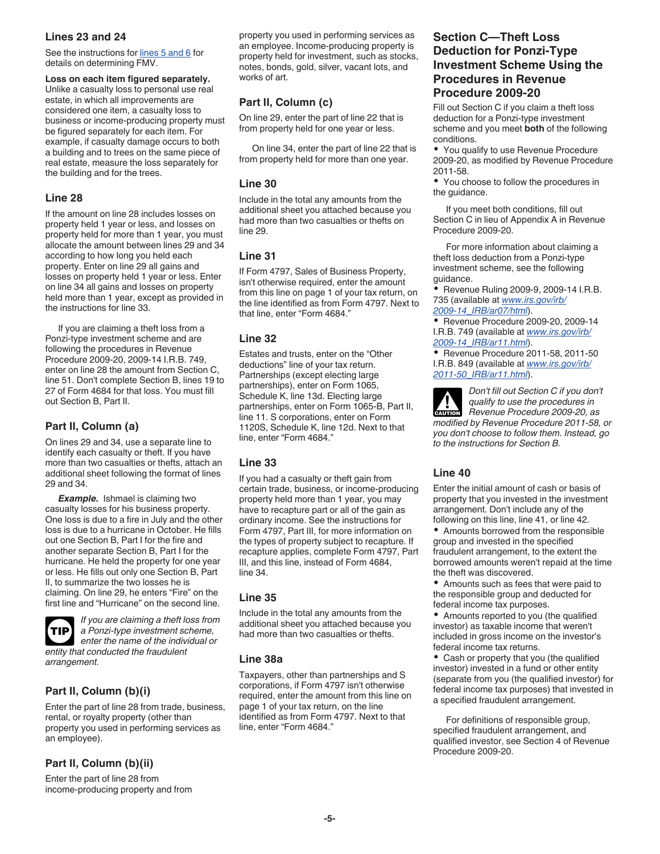#### <span id="page-4-0"></span>**Lines 23 and 24**

See the instructions for [lines 5 and 6](#page-2-0) for details on determining FMV.

**Loss on each item figured separately.** 

Unlike a casualty loss to personal use real estate, in which all improvements are considered one item, a casualty loss to business or income-producing property must be figured separately for each item. For example, if casualty damage occurs to both a building and to trees on the same piece of real estate, measure the loss separately for the building and for the trees.

#### **Line 28**

If the amount on line 28 includes losses on property held 1 year or less, and losses on property held for more than 1 year, you must allocate the amount between lines 29 and 34 according to how long you held each property. Enter on line 29 all gains and losses on property held 1 year or less. Enter on line 34 all gains and losses on property held more than 1 year, except as provided in the instructions for line 33.

If you are claiming a theft loss from a Ponzi-type investment scheme and are following the procedures in Revenue Procedure 2009-20, 2009-14 I.R.B. 749, enter on line 28 the amount from Section C, line 51. Don't complete Section B, lines 19 to 27 of Form 4684 for that loss. You must fill out Section B, Part II.

## **Part II, Column (a)**

On lines 29 and 34, use a separate line to identify each casualty or theft. If you have more than two casualties or thefts, attach an additional sheet following the format of lines 29 and 34.

**Example.** Ishmael is claiming two casualty losses for his business property. One loss is due to a fire in July and the other loss is due to a hurricane in October. He fills out one Section B, Part I for the fire and another separate Section B, Part I for the hurricane. He held the property for one year or less. He fills out only one Section B, Part II, to summarize the two losses he is claiming. On line 29, he enters "Fire" on the first line and "Hurricane" on the second line.



*arrangement.*

*If you are claiming a theft loss from a Ponzi-type investment scheme, enter the name of the individual or entity that conducted the fraudulent* 

**Part II, Column (b)(i)**

Enter the part of line 28 from trade, business, rental, or royalty property (other than property you used in performing services as an employee).

## **Part II, Column (b)(ii)**

Enter the part of line 28 from income-producing property and from

property you used in performing services as an employee. Income-producing property is property held for investment, such as stocks, notes, bonds, gold, silver, vacant lots, and works of art.

## **Part II, Column (c)**

On line 29, enter the part of line 22 that is from property held for one year or less.

On line 34, enter the part of line 22 that is from property held for more than one year.

#### **Line 30**

Include in the total any amounts from the additional sheet you attached because you had more than two casualties or thefts on line 29.

#### **Line 31**

If Form 4797, Sales of Business Property, isn't otherwise required, enter the amount from this line on page 1 of your tax return, on the line identified as from Form 4797. Next to that line, enter "Form 4684."

## **Line 32**

Estates and trusts, enter on the "Other deductions" line of your tax return. Partnerships (except electing large partnerships), enter on Form 1065, Schedule K, line 13d. Electing large partnerships, enter on Form 1065-B, Part II, line 11. S corporations, enter on Form 1120S, Schedule K, line 12d. Next to that line, enter "Form 4684."

#### **Line 33**

If you had a casualty or theft gain from certain trade, business, or income-producing property held more than 1 year, you may have to recapture part or all of the gain as ordinary income. See the instructions for Form 4797, Part III, for more information on the types of property subject to recapture. If recapture applies, complete Form 4797, Part III, and this line, instead of Form 4684, line 34.

#### **Line 35**

Include in the total any amounts from the additional sheet you attached because you had more than two casualties or thefts.

#### **Line 38a**

Taxpayers, other than partnerships and S corporations, if Form 4797 isn't otherwise required, enter the amount from this line on page 1 of your tax return, on the line identified as from Form 4797. Next to that line, enter "Form 4684."

## **Section C—Theft Loss Deduction for Ponzi-Type Investment Scheme Using the Procedures in Revenue Procedure 2009-20**

Fill out Section C if you claim a theft loss deduction for a Ponzi-type investment scheme and you meet **both** of the following conditions.

You qualify to use Revenue Procedure 2009-20, as modified by Revenue Procedure 2011-58.

You choose to follow the procedures in the guidance.

If you meet both conditions, fill out Section C in lieu of Appendix A in Revenue Procedure 2009-20.

For more information about claiming a theft loss deduction from a Ponzi-type investment scheme, see the following guidance.

Revenue Ruling 2009-9, 2009-14 I.R.B. 735 (available at *[www.irs.gov/irb/](http://www.irs.gov/irb/2009-14_IRB/ar07.html) [2009-14\\_IRB/ar07/html](http://www.irs.gov/irb/2009-14_IRB/ar07.html)*).

Revenue Procedure 2009-20, 2009-14 I.R.B. 749 (available at *[www.irs.gov/irb/](http://www.irs.gov/irb/2009-14_IRB/ar11.html) [2009-14\\_IRB/ar11.html](http://www.irs.gov/irb/2009-14_IRB/ar11.html)*).

 $\bullet$ Revenue Procedure 2011-58, 2011-50 I.R.B. 849 (available at *[www.irs.gov/irb/](http://www.irs.gov/irb/2011-50_IRB/ar11.html) [2011-50\\_IRB/ar11.html](http://www.irs.gov/irb/2011-50_IRB/ar11.html)*).

*Don't fill out Section C if you don't qualify to use the procedures in*  **Revenue Procedure 2009-20, as** *Revenue Procedure 2009-20, as modified by Revenue Procedure 2011-58, or you don't choose to follow them. Instead, go to the instructions for Section B.*

#### **Line 40**

Enter the initial amount of cash or basis of property that you invested in the investment arrangement. Don't include any of the following on this line, line 41, or line 42.

Amounts borrowed from the responsible group and invested in the specified fraudulent arrangement, to the extent the borrowed amounts weren't repaid at the time the theft was discovered.

Amounts such as fees that were paid to the responsible group and deducted for federal income tax purposes.

Amounts reported to you (the qualified investor) as taxable income that weren't included in gross income on the investor's federal income tax returns.

Cash or property that you (the qualified investor) invested in a fund or other entity (separate from you (the qualified investor) for federal income tax purposes) that invested in a specified fraudulent arrangement.

For definitions of responsible group, specified fraudulent arrangement, and qualified investor, see Section 4 of Revenue Procedure 2009-20.